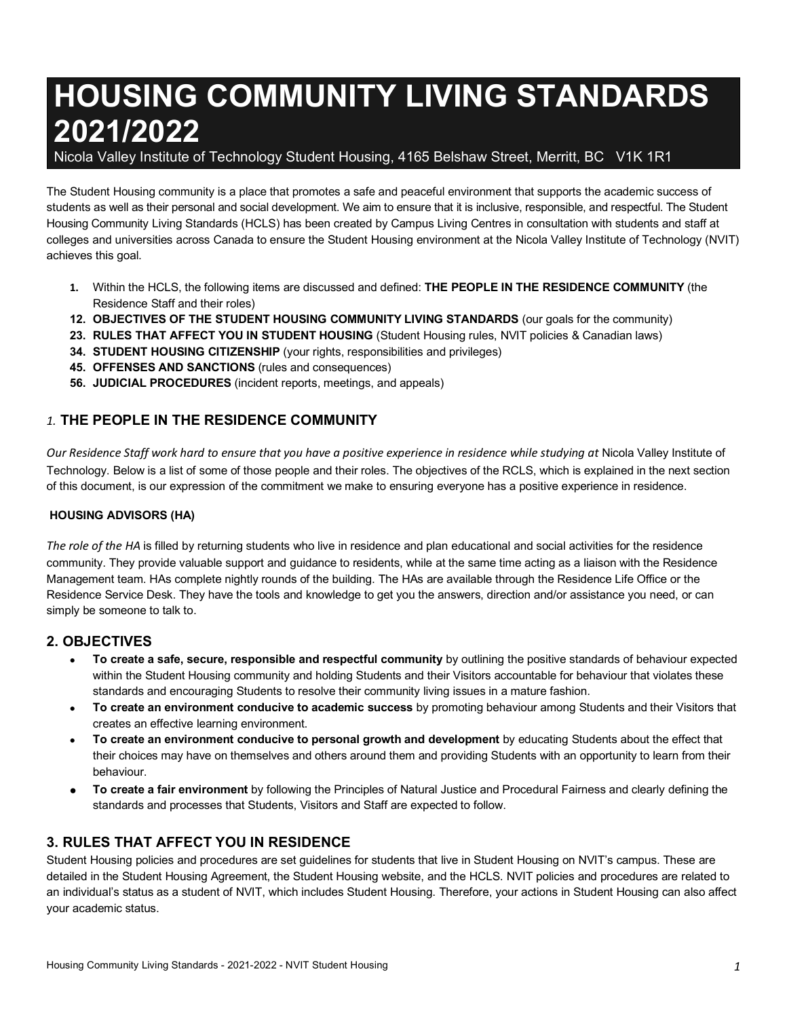# **HOUSING COMMUNITY LIVING STANDARDS 2021/2022**

Nicola Valley Institute of Technology Student Housing, 4165 Belshaw Street, Merritt, BC V1K 1R1

 The Student Housing community is a place that promotes a safe and peaceful environment that supports the academic success of students as well as their personal and social development. We aim to ensure that it is inclusive, responsible, and respectful. The Student Housing Community Living Standards (HCLS) has been created by Campus Living Centres in consultation with students and staff at colleges and universities across Canada to ensure the Student Housing environment at the Nicola Valley Institute of Technology (NVIT) achieves this goal.

- **1.** Within the HCLS, the following items are discussed and defined: **THE PEOPLE IN THE RESIDENCE COMMUNITY** (the Residence Staff and their roles)
- **12. OBJECTIVES OF THE STUDENT HOUSING COMMUNITY LIVING STANDARDS** (our goals for the community)
- **23. RULES THAT AFFECT YOU IN STUDENT HOUSING** (Student Housing rules, NVIT policies & Canadian laws)
- **34. STUDENT HOUSING CITIZENSHIP** (your rights, responsibilities and privileges)
- **45. OFFENSES AND SANCTIONS** (rules and consequences)
- **56. JUDICIAL PROCEDURES** (incident reports, meetings, and appeals)

## *1.* **THE PEOPLE IN THE RESIDENCE COMMUNITY**

 *Our Residence Staff work hard to ensure that you have a positive experience in residence while studying at* Nicola Valley Institute of Technology. Below is a list of some of those people and their roles. The objectives of the RCLS, which is explained in the next section of this document, is our expression of the commitment we make to ensuring everyone has a positive experience in residence.

### **HOUSING ADVISORS (HA)**

The role of the HA is filled by returning students who live in residence and plan educational and social activities for the residence community. They provide valuable support and guidance to residents, while at the same time acting as a liaison with the Residence Management team. HAs complete nightly rounds of the building. The HAs are available through the Residence Life Office or the Residence Service Desk. They have the tools and knowledge to get you the answers, direction and/or assistance you need, or can simply be someone to talk to.

## **2. OBJECTIVES**

- **To create a safe, secure, responsible and respectful community** by outlining the positive standards of behaviour expected within the Student Housing community and holding Students and their Visitors accountable for behaviour that violates these standards and encouraging Students to resolve their community living issues in a mature fashion.
- **To create an environment conducive to academic success** by promoting behaviour among Students and their Visitors that creates an effective learning environment.
- **To create an environment conducive to personal growth and development** by educating Students about the effect that their choices may have on themselves and others around them and providing Students with an opportunity to learn from their behaviour.
- **To create a fair environment** by following the Principles of Natural Justice and Procedural Fairness and clearly defining the standards and processes that Students, Visitors and Staff are expected to follow.

## **3. RULES THAT AFFECT YOU IN RESIDENCE**

 Student Housing policies and procedures are set guidelines for students that live in Student Housing on NVIT's campus. These are detailed in the Student Housing Agreement, the Student Housing website, and the HCLS. NVIT policies and procedures are related to an individual's status as a student of NVIT, which includes Student Housing. Therefore, your actions in Student Housing can also affect your academic status.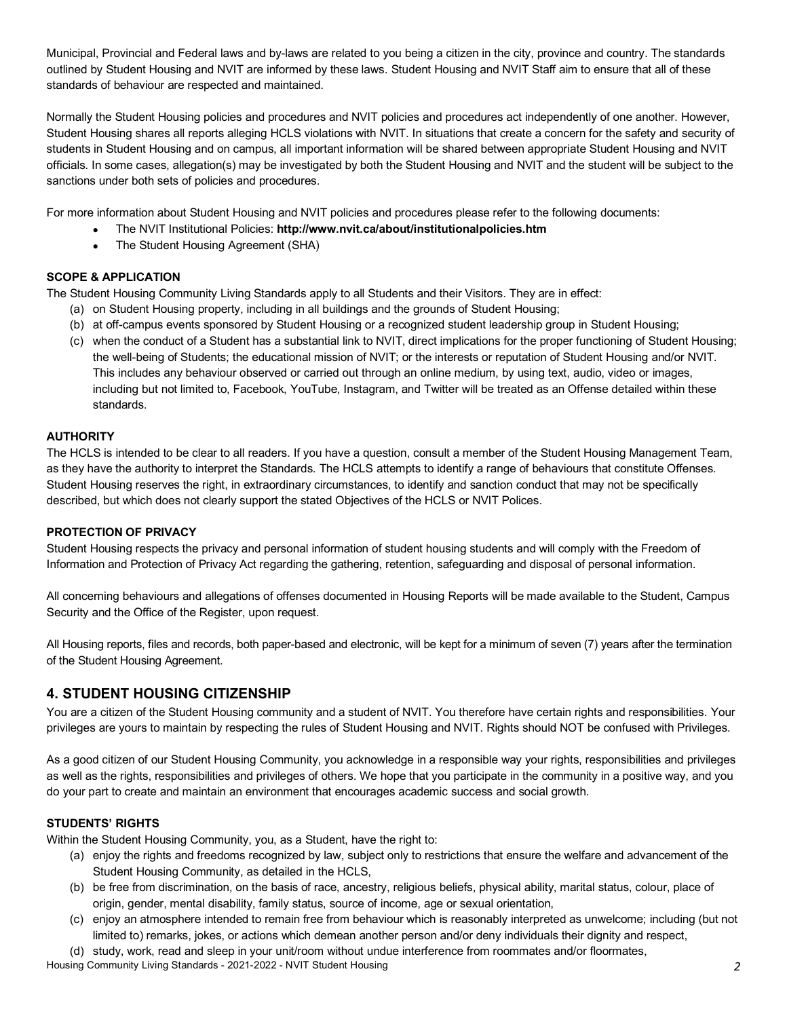Municipal, Provincial and Federal laws and by-laws are related to you being a citizen in the city, province and country. The standards outlined by Student Housing and NVIT are informed by these laws. Student Housing and NVIT Staff aim to ensure that all of these standards of behaviour are respected and maintained.

 Normally the Student Housing policies and procedures and NVIT policies and procedures act independently of one another. However, Student Housing shares all reports alleging HCLS violations with NVIT. In situations that create a concern for the safety and security of students in Student Housing and on campus, all important information will be shared between appropriate Student Housing and NVIT officials. In some cases, allegation(s) may be investigated by both the Student Housing and NVIT and the student will be subject to the sanctions under both sets of policies and procedures.

For more information about Student Housing and NVIT policies and procedures please refer to the following documents:

- The NVIT Institutional Policies: **<http://www.nvit.ca/about/institutionalpolicies.htm>**
- The Student Housing Agreement (SHA)

#### **SCOPE & APPLICATION**

The Student Housing Community Living Standards apply to all Students and their Visitors. They are in effect:

- (a) on Student Housing property, including in all buildings and the grounds of Student Housing;
- (b) at off-campus events sponsored by Student Housing or a recognized student leadership group in Student Housing;
- (c) when the conduct of a Student has a substantial link to NVIT, direct implications for the proper functioning of Student Housing; the well-being of Students; the educational mission of NVIT; or the interests or reputation of Student Housing and/or NVIT. This includes any behaviour observed or carried out through an online medium, by using text, audio, video or images, including but not limited to, Facebook, YouTube, Instagram, and Twitter will be treated as an Offense detailed within these standards.

#### **AUTHORITY**

 The HCLS is intended to be clear to all readers. If you have a question, consult a member of the Student Housing Management Team, as they have the authority to interpret the Standards. The HCLS attempts to identify a range of behaviours that constitute Offenses. Student Housing reserves the right, in extraordinary circumstances, to identify and sanction conduct that may not be specifically described, but which does not clearly support the stated Objectives of the HCLS or NVIT Polices.

#### **PROTECTION OF PRIVACY**

 Student Housing respects the privacy and personal information of student housing students and will comply with the Freedom of Information and Protection of Privacy Act regarding the gathering, retention, safeguarding and disposal of personal information.

 All concerning behaviours and allegations of offenses documented in Housing Reports will be made available to the Student, Campus Security and the Office of the Register, upon request.

 All Housing reports, files and records, both paper-based and electronic, will be kept for a minimum of seven (7) years after the termination of the Student Housing Agreement.

## **4. STUDENT HOUSING CITIZENSHIP**

 You are a citizen of the Student Housing community and a student of NVIT. You therefore have certain rights and responsibilities. Your privileges are yours to maintain by respecting the rules of Student Housing and NVIT. Rights should NOT be confused with Privileges.

 As a good citizen of our Student Housing Community, you acknowledge in a responsible way your rights, responsibilities and privileges as well as the rights, responsibilities and privileges of others. We hope that you participate in the community in a positive way, and you do your part to create and maintain an environment that encourages academic success and social growth.

#### **STUDENTS' RIGHTS**

Within the Student Housing Community, you, as a Student, have the right to:

- (a) enjoy the rights and freedoms recognized by law, subject only to restrictions that ensure the welfare and advancement of the Student Housing Community, as detailed in the HCLS,
- (b) be free from discrimination, on the basis of race, ancestry, religious beliefs, physical ability, marital status, colour, place of origin, gender, mental disability, family status, source of income, age or sexual orientation,
- (c) enjoy an atmosphere intended to remain free from behaviour which is reasonably interpreted as unwelcome; including (but not limited to) remarks, jokes, or actions which demean another person and/or deny individuals their dignity and respect,

(d) study, work, read and sleep in your unit/room without undue interference from roommates and/or floormates,

Housing Community Living Standards - 2021-2022 - NVIT Student Housing *2*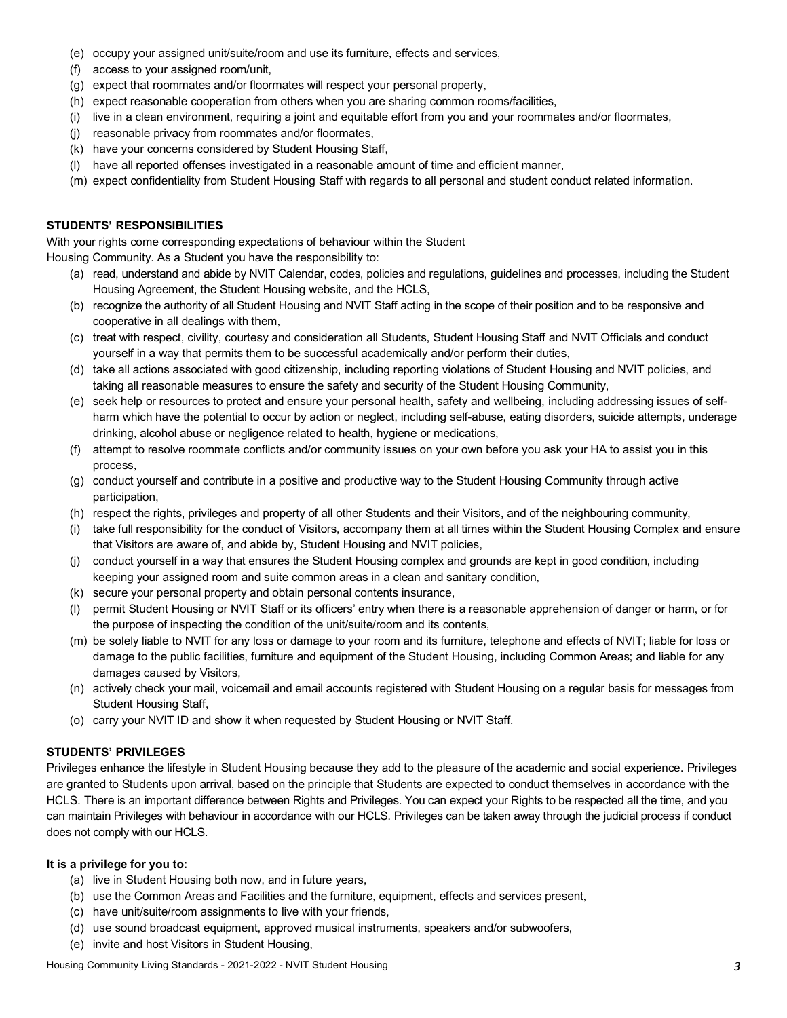- (e) occupy your assigned unit/suite/room and use its furniture, effects and services,
- (f) access to your assigned room/unit,
- (g) expect that roommates and/or floormates will respect your personal property,
- (h) expect reasonable cooperation from others when you are sharing common rooms/facilities,
- (i) live in a clean environment, requiring a joint and equitable effort from you and your roommates and/or floormates,
- (j) reasonable privacy from roommates and/or floormates,
- (k) have your concerns considered by Student Housing Staff,
- (l) have all reported offenses investigated in a reasonable amount of time and efficient manner,
- (m) expect confidentiality from Student Housing Staff with regards to all personal and student conduct related information.

#### **STUDENTS' RESPONSIBILITIES**

 With your rights come corresponding expectations of behaviour within the Student Housing Community. As a Student you have the responsibility to:

- (a) read, understand and abide by NVIT Calendar, codes, policies and regulations, guidelines and processes, including the Student Housing Agreement, the Student Housing website, and the HCLS,
- (b) recognize the authority of all Student Housing and NVIT Staff acting in the scope of their position and to be responsive and cooperative in all dealings with them,
- (c) treat with respect, civility, courtesy and consideration all Students, Student Housing Staff and NVIT Officials and conduct yourself in a way that permits them to be successful academically and/or perform their duties,
- (d) take all actions associated with good citizenship, including reporting violations of Student Housing and NVIT policies, and taking all reasonable measures to ensure the safety and security of the Student Housing Community,
- (e) seek help or resources to protect and ensure your personal health, safety and wellbeing, including addressing issues of self- harm which have the potential to occur by action or neglect, including self-abuse, eating disorders, suicide attempts, underage drinking, alcohol abuse or negligence related to health, hygiene or medications,
- (f) attempt to resolve roommate conflicts and/or community issues on your own before you ask your HA to assist you in this process,
- (g) conduct yourself and contribute in a positive and productive way to the Student Housing Community through active participation,
- (h) respect the rights, privileges and property of all other Students and their Visitors, and of the neighbouring community,
- (i) take full responsibility for the conduct of Visitors, accompany them at all times within the Student Housing Complex and ensure that Visitors are aware of, and abide by, Student Housing and NVIT policies,
- (j) conduct yourself in a way that ensures the Student Housing complex and grounds are kept in good condition, including keeping your assigned room and suite common areas in a clean and sanitary condition,
- (k) secure your personal property and obtain personal contents insurance,
- (l) permit Student Housing or NVIT Staff or its officers' entry when there is a reasonable apprehension of danger or harm, or for the purpose of inspecting the condition of the unit/suite/room and its contents,
- (m) be solely liable to NVIT for any loss or damage to your room and its furniture, telephone and effects of NVIT; liable for loss or damage to the public facilities, furniture and equipment of the Student Housing, including Common Areas; and liable for any damages caused by Visitors,
- (n) actively check your mail, voicemail and email accounts registered with Student Housing on a regular basis for messages from Student Housing Staff,
- (o) carry your NVIT ID and show it when requested by Student Housing or NVIT Staff.

#### **STUDENTS' PRIVILEGES**

 Privileges enhance the lifestyle in Student Housing because they add to the pleasure of the academic and social experience. Privileges are granted to Students upon arrival, based on the principle that Students are expected to conduct themselves in accordance with the HCLS. There is an important difference between Rights and Privileges. You can expect your Rights to be respected all the time, and you can maintain Privileges with behaviour in accordance with our HCLS. Privileges can be taken away through the judicial process if conduct does not comply with our HCLS.

#### **It is a privilege for you to:**

- (a) live in Student Housing both now, and in future years,
- (b) use the Common Areas and Facilities and the furniture, equipment, effects and services present,
- (c) have unit/suite/room assignments to live with your friends,
- (d) use sound broadcast equipment, approved musical instruments, speakers and/or subwoofers,
- (e) invite and host Visitors in Student Housing,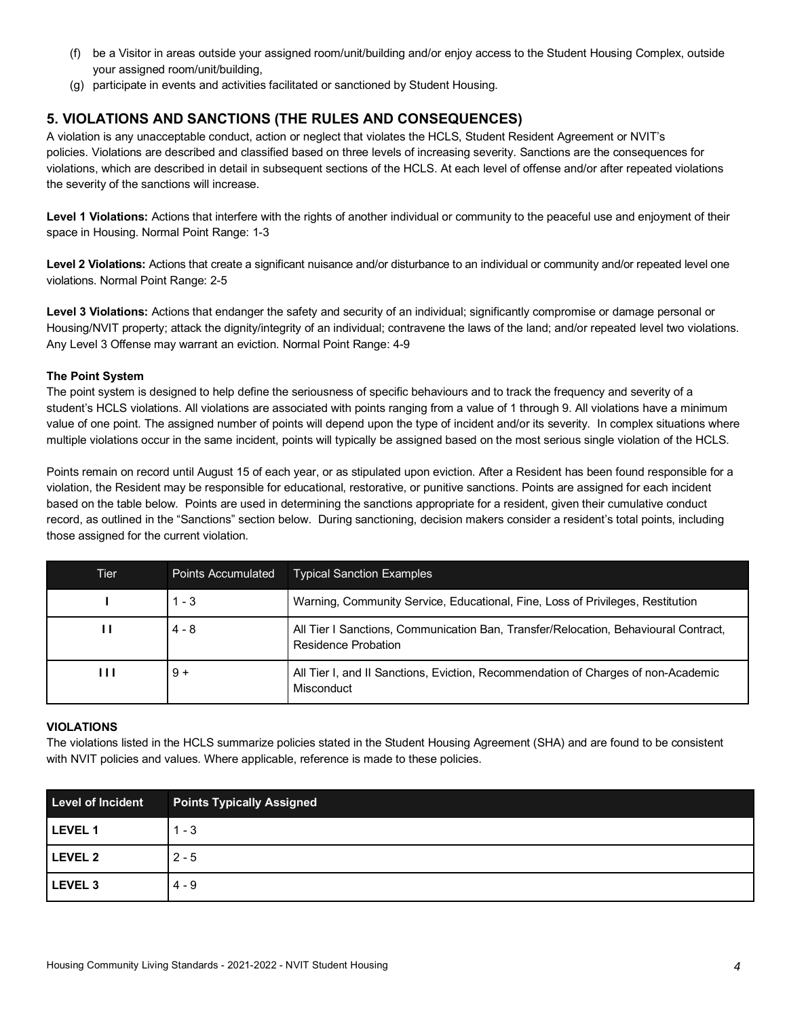- $(f)$  your assigned room/unit/building, be a Visitor in areas outside your assigned room/unit/building and/or enjoy access to the Student Housing Complex, outside
- (g) participate in events and activities facilitated or sanctioned by Student Housing.

## **5. VIOLATIONS AND SANCTIONS (THE RULES AND CONSEQUENCES)**

 A violation is any unacceptable conduct, action or neglect that violates the HCLS, Student Resident Agreement or NVIT's policies. Violations are described and classified based on three levels of increasing severity. Sanctions are the consequences for violations, which are described in detail in subsequent sections of the HCLS. At each level of offense and/or after repeated violations the severity of the sanctions will increase.

Level 1 Violations: Actions that interfere with the rights of another individual or community to the peaceful use and enjoyment of their space in Housing. Normal Point Range: 1-3

Level 2 Violations: Actions that create a significant nuisance and/or disturbance to an individual or community and/or repeated level one violations. Normal Point Range: 2-5

Level 3 Violations: Actions that endanger the safety and security of an individual; significantly compromise or damage personal or Housing/NVIT property; attack the dignity/integrity of an individual; contravene the laws of the land; and/or repeated level two violations. Any Level 3 Offense may warrant an eviction. Normal Point Range: 4-9

#### **The Point System**

 The point system is designed to help define the seriousness of specific behaviours and to track the frequency and severity of a student's HCLS violations. All violations are associated with points ranging from a value of 1 through 9. All violations have a minimum value of one point. The assigned number of points will depend upon the type of incident and/or its severity. In complex situations where multiple violations occur in the same incident, points will typically be assigned based on the most serious single violation of the HCLS.

 Points remain on record until August 15 of each year, or as stipulated upon eviction. After a Resident has been found responsible for a violation, the Resident may be responsible for educational, restorative, or punitive sanctions. Points are assigned for each incident based on the table below. Points are used in determining the sanctions appropriate for a resident, given their cumulative conduct record, as outlined in the "Sanctions" section below. During sanctioning, decision makers consider a resident's total points, including those assigned for the current violation.

| Tier | <b>Points Accumulated</b> | <b>Typical Sanction Examples</b>                                                                           |
|------|---------------------------|------------------------------------------------------------------------------------------------------------|
|      | $1 - 3$                   | Warning, Community Service, Educational, Fine, Loss of Privileges, Restitution                             |
| п    | $4 - 8$                   | All Tier I Sanctions, Communication Ban, Transfer/Relocation, Behavioural Contract,<br>Residence Probation |
| ШL   | $9+$                      | All Tier I, and II Sanctions, Eviction, Recommendation of Charges of non-Academic<br>Misconduct            |

#### **VIOLATIONS**

 The violations listed in the HCLS summarize policies stated in the Student Housing Agreement (SHA) and are found to be consistent with NVIT policies and values. Where applicable, reference is made to these policies.

| <b>Level of Incident</b> | <b>Points Typically Assigned</b> |
|--------------------------|----------------------------------|
| LEVEL 1                  | $1 - 3$                          |
| LEVEL 2                  | $2 - 5$                          |
| LEVEL 3                  | $4 - 9$                          |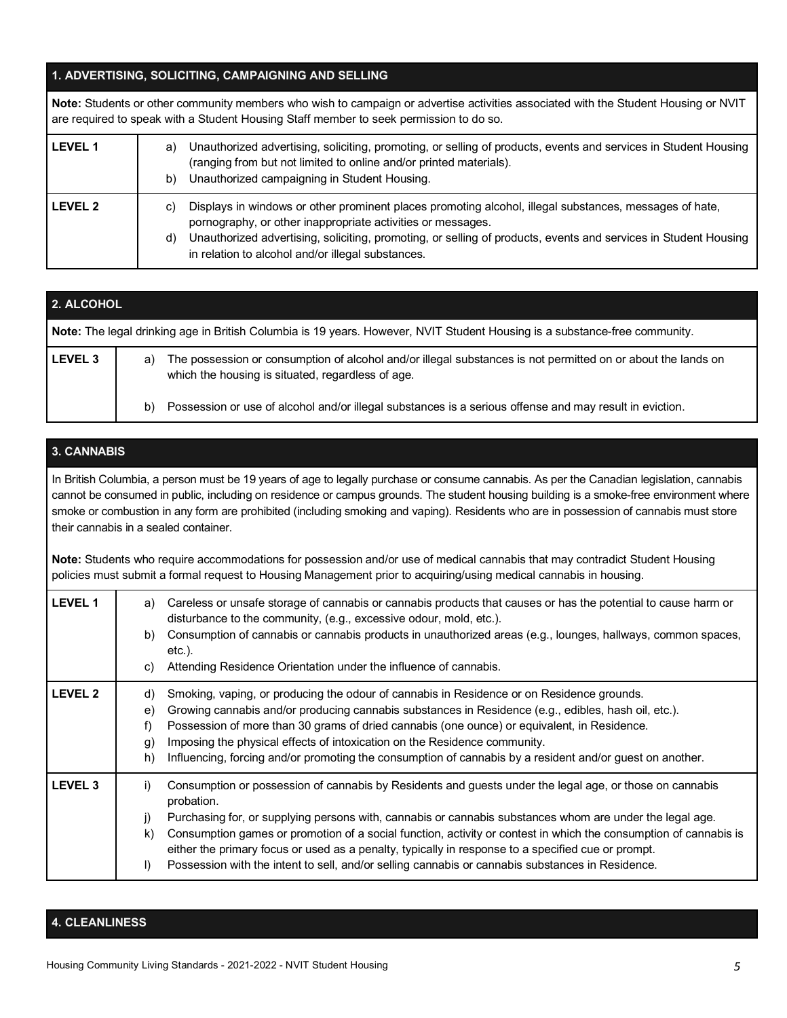#### **1. ADVERTISING, SOLICITING, CAMPAIGNING AND SELLING**

|                | Note: Students or other community members who wish to campaign or advertise activities associated with the Student Housing or NVIT<br>are required to speak with a Student Housing Staff member to seek permission to do so.                                                                                                                              |  |
|----------------|-----------------------------------------------------------------------------------------------------------------------------------------------------------------------------------------------------------------------------------------------------------------------------------------------------------------------------------------------------------|--|
| <b>LEVEL 1</b> | Unauthorized advertising, soliciting, promoting, or selling of products, events and services in Student Housing<br>a)<br>(ranging from but not limited to online and/or printed materials).<br>Unauthorized campaigning in Student Housing.<br>b)                                                                                                         |  |
| LEVEL 2        | Displays in windows or other prominent places promoting alcohol, illegal substances, messages of hate,<br>C)<br>pornography, or other inappropriate activities or messages.<br>Unauthorized advertising, soliciting, promoting, or selling of products, events and services in Student Housing<br>d)<br>in relation to alcohol and/or illegal substances. |  |

| 2. ALCOHOL     |                                                                                                                                                                         |  |
|----------------|-------------------------------------------------------------------------------------------------------------------------------------------------------------------------|--|
|                | Note: The legal drinking age in British Columbia is 19 years. However, NVIT Student Housing is a substance-free community.                                              |  |
| <b>LEVEL 3</b> | The possession or consumption of alcohol and/or illegal substances is not permitted on or about the lands on<br>a)<br>which the housing is situated, regardless of age. |  |
|                | Possession or use of alcohol and/or illegal substances is a serious offense and may result in eviction.<br>b)                                                           |  |

## **3. CANNABIS**

 In British Columbia, a person must be 19 years of age to legally purchase or consume cannabis. As per the Canadian legislation, cannabis cannot be consumed in public, including on residence or campus grounds. The student housing building is a smoke-free environment where smoke or combustion in any form are prohibited (including smoking and vaping). Residents who are in possession of cannabis must store their cannabis in a sealed container.

 **Note:** Students who require accommodations for possession and/or use of medical cannabis that may contradict Student Housing policies must submit a formal request to Housing Management prior to acquiring/using medical cannabis in housing.

| <b>LEVEL 1</b> | Careless or unsafe storage of cannabis or cannabis products that causes or has the potential to cause harm or<br>a)<br>disturbance to the community, (e.g., excessive odour, mold, etc.).<br>Consumption of cannabis or cannabis products in unauthorized areas (e.g., lounges, hallways, common spaces,<br>b)<br>etc.).<br>Attending Residence Orientation under the influence of cannabis.<br>C)                                                                                                                                                                                               |
|----------------|--------------------------------------------------------------------------------------------------------------------------------------------------------------------------------------------------------------------------------------------------------------------------------------------------------------------------------------------------------------------------------------------------------------------------------------------------------------------------------------------------------------------------------------------------------------------------------------------------|
| <b>LEVEL 2</b> | Smoking, vaping, or producing the odour of cannabis in Residence or on Residence grounds.<br>d)<br>Growing cannabis and/or producing cannabis substances in Residence (e.g., edibles, hash oil, etc.).<br>e)<br>Possession of more than 30 grams of dried cannabis (one ounce) or equivalent, in Residence.<br>f)<br>Imposing the physical effects of intoxication on the Residence community.<br>(g<br>Influencing, forcing and/or promoting the consumption of cannabis by a resident and/or guest on another.<br>h)                                                                           |
| <b>LEVEL 3</b> | Consumption or possession of cannabis by Residents and guests under the legal age, or those on cannabis<br>$_{1}$<br>probation.<br>Purchasing for, or supplying persons with, cannabis or cannabis substances whom are under the legal age.<br>j)<br>Consumption games or promotion of a social function, activity or contest in which the consumption of cannabis is<br>k)<br>either the primary focus or used as a penalty, typically in response to a specified cue or prompt.<br>Possession with the intent to sell, and/or selling cannabis or cannabis substances in Residence.<br>$\vert$ |

## **4. CLEANLINESS**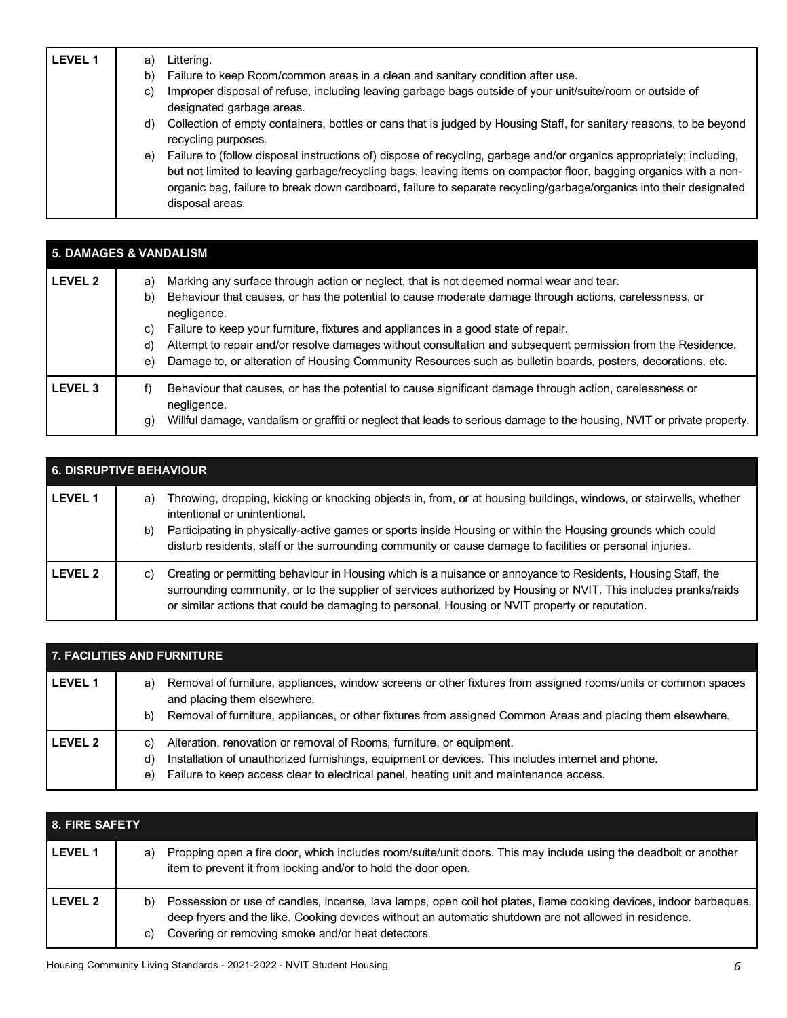| <b>LEVEL 1</b> | Littering.<br>a)<br>Failure to keep Room/common areas in a clean and sanitary condition after use.<br>b)<br>Improper disposal of refuse, including leaving garbage bags outside of your unit/suite/room or outside of<br>C)<br>designated garbage areas.<br>Collection of empty containers, bottles or cans that is judged by Housing Staff, for sanitary reasons, to be beyond<br>d)                           |
|----------------|-----------------------------------------------------------------------------------------------------------------------------------------------------------------------------------------------------------------------------------------------------------------------------------------------------------------------------------------------------------------------------------------------------------------|
|                | recycling purposes.<br>Failure to (follow disposal instructions of) dispose of recycling, garbage and/or organics appropriately; including,<br>e)<br>but not limited to leaving garbage/recycling bags, leaving items on compactor floor, bagging organics with a non-<br>organic bag, failure to break down cardboard, failure to separate recycling/garbage/organics into their designated<br>disposal areas. |

| <b>5. DAMAGES &amp; VANDALISM</b> |                                                                                                                                                                                                                                                                                                                                                                                                                                                                                                                                                                    |  |
|-----------------------------------|--------------------------------------------------------------------------------------------------------------------------------------------------------------------------------------------------------------------------------------------------------------------------------------------------------------------------------------------------------------------------------------------------------------------------------------------------------------------------------------------------------------------------------------------------------------------|--|
| <b>LEVEL 2</b>                    | Marking any surface through action or neglect, that is not deemed normal wear and tear.<br>a)<br>Behaviour that causes, or has the potential to cause moderate damage through actions, carelessness, or<br>b)<br>negligence.<br>Failure to keep your furniture, fixtures and appliances in a good state of repair.<br>C)<br>Attempt to repair and/or resolve damages without consultation and subsequent permission from the Residence.<br>d)<br>Damage to, or alteration of Housing Community Resources such as bulletin boards, posters, decorations, etc.<br>e) |  |
| <b>LEVEL 3</b>                    | Behaviour that causes, or has the potential to cause significant damage through action, carelessness or<br>f)<br>negligence.<br>Willful damage, vandalism or graffiti or neglect that leads to serious damage to the housing, NVIT or private property.<br>g)                                                                                                                                                                                                                                                                                                      |  |

| <b>6. DISRUPTIVE BEHAVIOUR</b> |                                                                                                                                                                                                                                                                                                                                                                                             |  |
|--------------------------------|---------------------------------------------------------------------------------------------------------------------------------------------------------------------------------------------------------------------------------------------------------------------------------------------------------------------------------------------------------------------------------------------|--|
| <b>LEVEL 1</b>                 | Throwing, dropping, kicking or knocking objects in, from, or at housing buildings, windows, or stairwells, whether<br>a)<br>intentional or unintentional.<br>Participating in physically-active games or sports inside Housing or within the Housing grounds which could<br>b)<br>disturb residents, staff or the surrounding community or cause damage to facilities or personal injuries. |  |
| LEVEL 2                        | Creating or permitting behaviour in Housing which is a nuisance or annoyance to Residents, Housing Staff, the<br>C)<br>surrounding community, or to the supplier of services authorized by Housing or NVIT. This includes pranks/raids<br>or similar actions that could be damaging to personal, Housing or NVIT property or reputation.                                                    |  |

| <b>7. FACILITIES AND FURNITURE</b> |                                                                                                                                                                                                                                                                                       |  |
|------------------------------------|---------------------------------------------------------------------------------------------------------------------------------------------------------------------------------------------------------------------------------------------------------------------------------------|--|
| <b>LEVEL 1</b>                     | Removal of furniture, appliances, window screens or other fixtures from assigned rooms/units or common spaces<br>a)<br>and placing them elsewhere.<br>Removal of furniture, appliances, or other fixtures from assigned Common Areas and placing them elsewhere.<br>b)                |  |
| LEVEL 2                            | Alteration, renovation or removal of Rooms, furniture, or equipment.<br>C)<br>Installation of unauthorized furnishings, equipment or devices. This includes internet and phone.<br>d)<br>Failure to keep access clear to electrical panel, heating unit and maintenance access.<br>e) |  |

| <b>8. FIRE SAFETY</b> |          |                                                                                                                                                                                                                                                                                 |
|-----------------------|----------|---------------------------------------------------------------------------------------------------------------------------------------------------------------------------------------------------------------------------------------------------------------------------------|
| <b>LEVEL 1</b>        | a)       | Propping open a fire door, which includes room/suite/unit doors. This may include using the deadbolt or another<br>item to prevent it from locking and/or to hold the door open.                                                                                                |
| LEVEL 2               | b)<br>C) | Possession or use of candles, incense, lava lamps, open coil hot plates, flame cooking devices, indoor barbeques,<br>deep fryers and the like. Cooking devices without an automatic shutdown are not allowed in residence.<br>Covering or removing smoke and/or heat detectors. |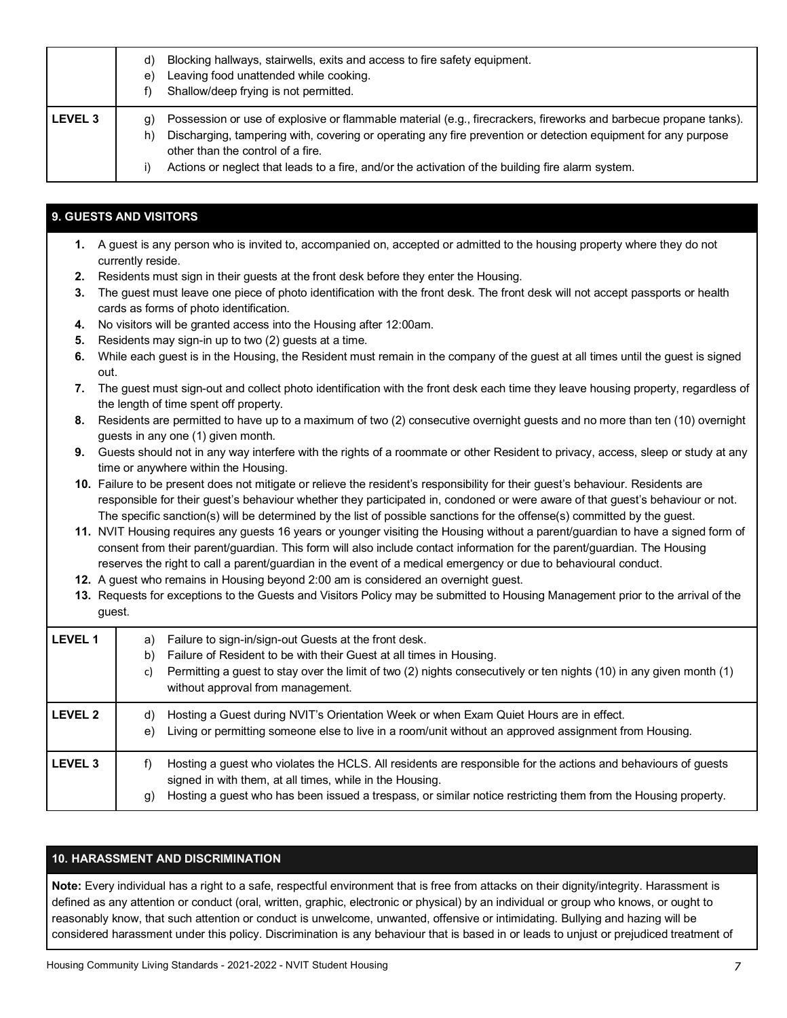|                | Blocking hallways, stairwells, exits and access to fire safety equipment.<br>d)<br>Leaving food unattended while cooking.<br>e)<br>Shallow/deep frying is not permitted.                                                                                                                                                                                                                |
|----------------|-----------------------------------------------------------------------------------------------------------------------------------------------------------------------------------------------------------------------------------------------------------------------------------------------------------------------------------------------------------------------------------------|
| <b>LEVEL 3</b> | Possession or use of explosive or flammable material (e.g., firecrackers, fireworks and barbecue propane tanks).<br>g)<br>Discharging, tampering with, covering or operating any fire prevention or detection equipment for any purpose<br>h)<br>other than the control of a fire.<br>Actions or neglect that leads to a fire, and/or the activation of the building fire alarm system. |

## **9. GUESTS AND VISITORS**

- **1.** A guest is any person who is invited to, accompanied on, accepted or admitted to the housing property where they do not currently reside. **2.** Residents must sign in their guests at the front desk before they enter the Housing.
- **3.** The guest must leave one piece of photo identification with the front desk. The front desk will not accept passports or health cards as forms of photo identification.
- **4.** No visitors will be granted access into the Housing after 12:00am.
- **5.** Residents may sign-in up to two (2) guests at a time.
- **6.** While each guest is in the Housing, the Resident must remain in the company of the guest at all times until the guest is signed out.
- **7.** The guest must sign-out and collect photo identification with the front desk each time they leave housing property, regardless of the length of time spent off property.
- **8.** Residents are permitted to have up to a maximum of two (2) consecutive overnight guests and no more than ten (10) overnight guests in any one (1) given month.
- **9.** Guests should not in any way interfere with the rights of a roommate or other Resident to privacy, access, sleep or study at any time or anywhere within the Housing.
- **10.** Failure to be present does not mitigate or relieve the resident's responsibility for their guest's behaviour. Residents are responsible for their guest's behaviour whether they participated in, condoned or were aware of that guest's behaviour or not. The specific sanction(s) will be determined by the list of possible sanctions for the offense(s) committed by the guest.
- **11.** NVIT Housing requires any guests 16 years or younger visiting the Housing without a parent/guardian to have a signed form of consent from their parent/guardian. This form will also include contact information for the parent/guardian. The Housing reserves the right to call a parent/guardian in the event of a medical emergency or due to behavioural conduct.
- **12.** A guest who remains in Housing beyond 2:00 am is considered an overnight guest.
- **13.** Requests for exceptions to the Guests and Visitors Policy may be submitted to Housing Management prior to the arrival of the guest.

| LEVEL 1 | Failure to sign-in/sign-out Guests at the front desk.<br>a)<br>Failure of Resident to be with their Guest at all times in Housing.<br>b)<br>Permitting a guest to stay over the limit of two (2) nights consecutively or ten nights (10) in any given month (1)<br>c)<br>without approval from management. |
|---------|------------------------------------------------------------------------------------------------------------------------------------------------------------------------------------------------------------------------------------------------------------------------------------------------------------|
| LEVEL 2 | Hosting a Guest during NVIT's Orientation Week or when Exam Quiet Hours are in effect.<br>d)<br>Living or permitting someone else to live in a room/unit without an approved assignment from Housing.<br>e)                                                                                                |
| LEVEL 3 | Hosting a guest who violates the HCLS. All residents are responsible for the actions and behaviours of guests<br>t)<br>signed in with them, at all times, while in the Housing.<br>Hosting a guest who has been issued a trespass, or similar notice restricting them from the Housing property.<br>g)     |

## **10. HARASSMENT AND DISCRIMINATION**

 **Note:** Every individual has a right to a safe, respectful environment that is free from attacks on their dignity/integrity. Harassment is defined as any attention or conduct (oral, written, graphic, electronic or physical) by an individual or group who knows, or ought to reasonably know, that such attention or conduct is unwelcome, unwanted, offensive or intimidating. Bullying and hazing will be considered harassment under this policy. Discrimination is any behaviour that is based in or leads to unjust or prejudiced treatment of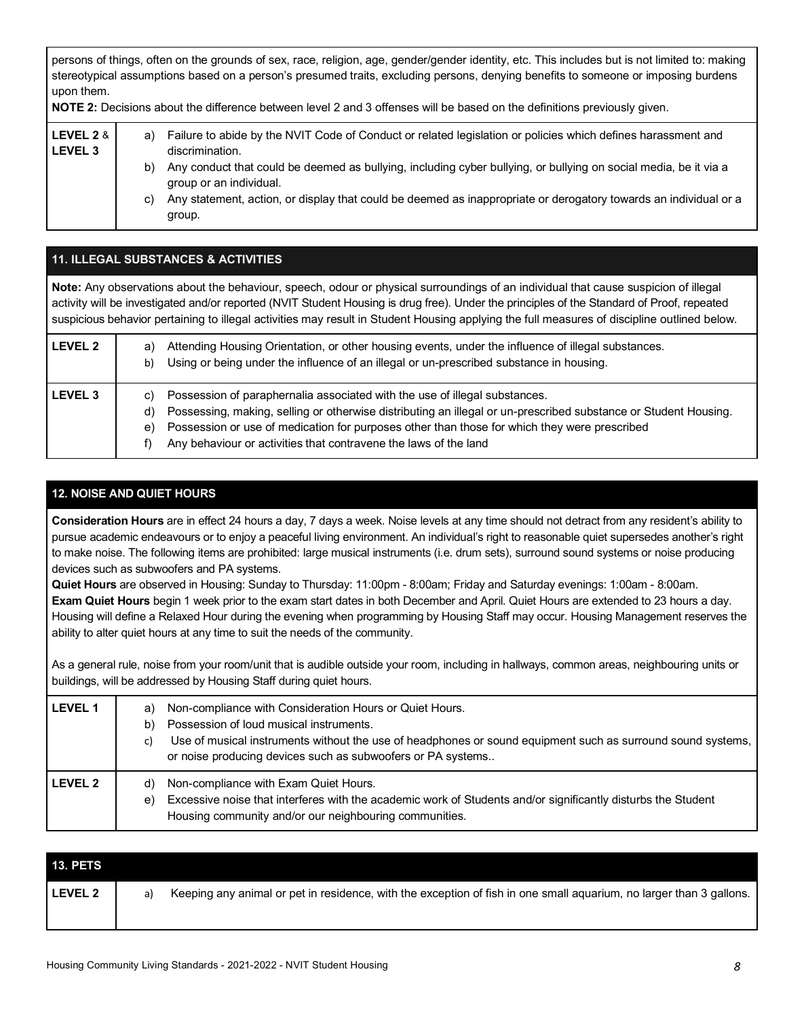persons of things, often on the grounds of sex, race, religion, age, gender/gender identity, etc. This includes but is not limited to: making stereotypical assumptions based on a person's presumed traits, excluding persons, denying benefits to someone or imposing burdens upon them.

| NOTE 2: Decisions about the difference between level 2 and 3 offenses will be based on the definitions previously given. |                |                                                                                                                                                                                                                                                                                                                                                                                                              |
|--------------------------------------------------------------------------------------------------------------------------|----------------|--------------------------------------------------------------------------------------------------------------------------------------------------------------------------------------------------------------------------------------------------------------------------------------------------------------------------------------------------------------------------------------------------------------|
| LEVEL 2 &<br><b>LEVEL 3</b>                                                                                              | a)<br>b)<br>C) | Failure to abide by the NVIT Code of Conduct or related legislation or policies which defines harassment and<br>discrimination.<br>Any conduct that could be deemed as bullying, including cyber bullying, or bullying on social media, be it via a<br>group or an individual.<br>Any statement, action, or display that could be deemed as inappropriate or derogatory towards an individual or a<br>group. |

| <b>11. ILLEGAL SUBSTANCES &amp; ACTIVITIES</b> |                                                                                                                                                                                                                                                                                                                                                                                                                                  |  |
|------------------------------------------------|----------------------------------------------------------------------------------------------------------------------------------------------------------------------------------------------------------------------------------------------------------------------------------------------------------------------------------------------------------------------------------------------------------------------------------|--|
|                                                | Note: Any observations about the behaviour, speech, odour or physical surroundings of an individual that cause suspicion of illegal<br>activity will be investigated and/or reported (NVIT Student Housing is drug free). Under the principles of the Standard of Proof, repeated<br>suspicious behavior pertaining to illegal activities may result in Student Housing applying the full measures of discipline outlined below. |  |
| LEVEL <sub>2</sub>                             | Attending Housing Orientation, or other housing events, under the influence of illegal substances.<br>a)<br>Using or being under the influence of an illegal or un-prescribed substance in housing.<br>b)                                                                                                                                                                                                                        |  |
| LEVEL <sub>3</sub>                             | Possession of paraphernalia associated with the use of illegal substances.<br>C)<br>Possessing, making, selling or otherwise distributing an illegal or un-prescribed substance or Student Housing.<br>d)<br>Possession or use of medication for purposes other than those for which they were prescribed<br>e)<br>Any behaviour or activities that contravene the laws of the land                                              |  |

## **12. NOISE AND QUIET HOURS**

 **Consideration Hours** are in effect 24 hours a day, 7 days a week. Noise levels at any time should not detract from any resident's ability to pursue academic endeavours or to enjoy a peaceful living environment. An individual's right to reasonable quiet supersedes another's right to make noise. The following items are prohibited: large musical instruments (i.e. drum sets), surround sound systems or noise producing devices such as subwoofers and PA systems.

 **Quiet Hours** are observed in Housing: Sunday to Thursday: 11:00pm - 8:00am; Friday and Saturday evenings: 1:00am - 8:00am.  **Exam Quiet Hours** begin 1 week prior to the exam start dates in both December and April. Quiet Hours are extended to 23 hours a day. Housing will define a Relaxed Hour during the evening when programming by Housing Staff may occur. Housing Management reserves the ability to alter quiet hours at any time to suit the needs of the community.

 As a general rule, noise from your room/unit that is audible outside your room, including in hallways, common areas, neighbouring units or buildings, will be addressed by Housing Staff during quiet hours.

| <b>LEVEL 1</b> | Non-compliance with Consideration Hours or Quiet Hours.<br>a)<br>Possession of loud musical instruments.<br>b)<br>Use of musical instruments without the use of headphones or sound equipment such as surround sound systems,<br>C)<br>or noise producing devices such as subwoofers or PA systems |
|----------------|----------------------------------------------------------------------------------------------------------------------------------------------------------------------------------------------------------------------------------------------------------------------------------------------------|
| <b>LEVEL 2</b> | Non-compliance with Exam Quiet Hours.<br>d)<br>Excessive noise that interferes with the academic work of Students and/or significantly disturbs the Student<br>e)<br>Housing community and/or our neighbouring communities.                                                                        |

| <b>13. PETS</b> |    |                                                                                                                     |
|-----------------|----|---------------------------------------------------------------------------------------------------------------------|
| LEVEL 2         | a) | Keeping any animal or pet in residence, with the exception of fish in one small aquarium, no larger than 3 gallons. |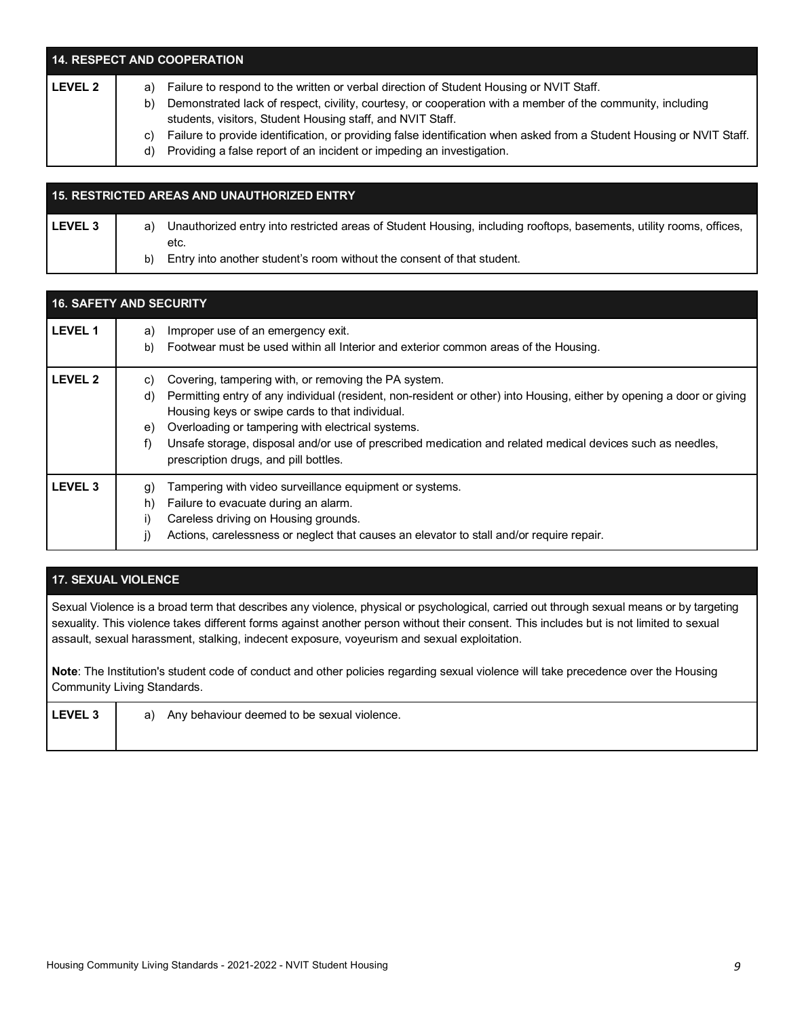| <b>14. RESPECT AND COOPERATION</b> |    |                                                                                                                                                                          |  |
|------------------------------------|----|--------------------------------------------------------------------------------------------------------------------------------------------------------------------------|--|
| <b>LEVEL 2</b>                     | a) | Failure to respond to the written or verbal direction of Student Housing or NVIT Staff.                                                                                  |  |
|                                    | b) | Demonstrated lack of respect, civility, courtesy, or cooperation with a member of the community, including<br>students, visitors, Student Housing staff, and NVIT Staff. |  |
|                                    | C) | Failure to provide identification, or providing false identification when asked from a Student Housing or NVIT Staff.                                                    |  |
|                                    | d) | Providing a false report of an incident or impeding an investigation.                                                                                                    |  |

## LEVEL 3 | a) Unauthorized entry into restricted areas of Student Housing, including rooftops, basements, utility rooms, offices, b) Entry into another student's room without the consent of that student. **15. RESTRICTED AREAS AND UNAUTHORIZED ENTRY**  etc.

| <b>16. SAFETY AND SECURITY</b> |                                                                                                                                       |  |
|--------------------------------|---------------------------------------------------------------------------------------------------------------------------------------|--|
| <b>LEVEL 1</b>                 | Improper use of an emergency exit.<br>a)<br>Footwear must be used within all Interior and exterior common areas of the Housing.<br>b) |  |
|                                |                                                                                                                                       |  |
| <b>LEVEL 2</b>                 | Covering, tampering with, or removing the PA system.<br>C)                                                                            |  |
|                                | Permitting entry of any individual (resident, non-resident or other) into Housing, either by opening a door or giving<br>d)           |  |
|                                | Housing keys or swipe cards to that individual.                                                                                       |  |
|                                | Overloading or tampering with electrical systems.<br>e)                                                                               |  |
|                                | Unsafe storage, disposal and/or use of prescribed medication and related medical devices such as needles,<br>f)                       |  |
|                                | prescription drugs, and pill bottles.                                                                                                 |  |
| LEVEL <sub>3</sub>             | Tampering with video surveillance equipment or systems.<br>g)                                                                         |  |
|                                | Failure to evacuate during an alarm.<br>h)                                                                                            |  |
|                                | Careless driving on Housing grounds.<br>i)                                                                                            |  |
|                                | Actions, carelessness or neglect that causes an elevator to stall and/or require repair.                                              |  |

## **17. SEXUAL VIOLENCE**

 Sexual Violence is a broad term that describes any violence, physical or psychological, carried out through sexual means or by targeting sexuality. This violence takes different forms against another person without their consent. This includes but is not limited to sexual assault, sexual harassment, stalking, indecent exposure, voyeurism and sexual exploitation.

 **Note**: The Institution's student code of conduct and other policies regarding sexual violence will take precedence over the Housing Community Living Standards.

| <b>LEVEL 3</b> | a) Any behaviour deemed to be sexual violence. |  |
|----------------|------------------------------------------------|--|
|                |                                                |  |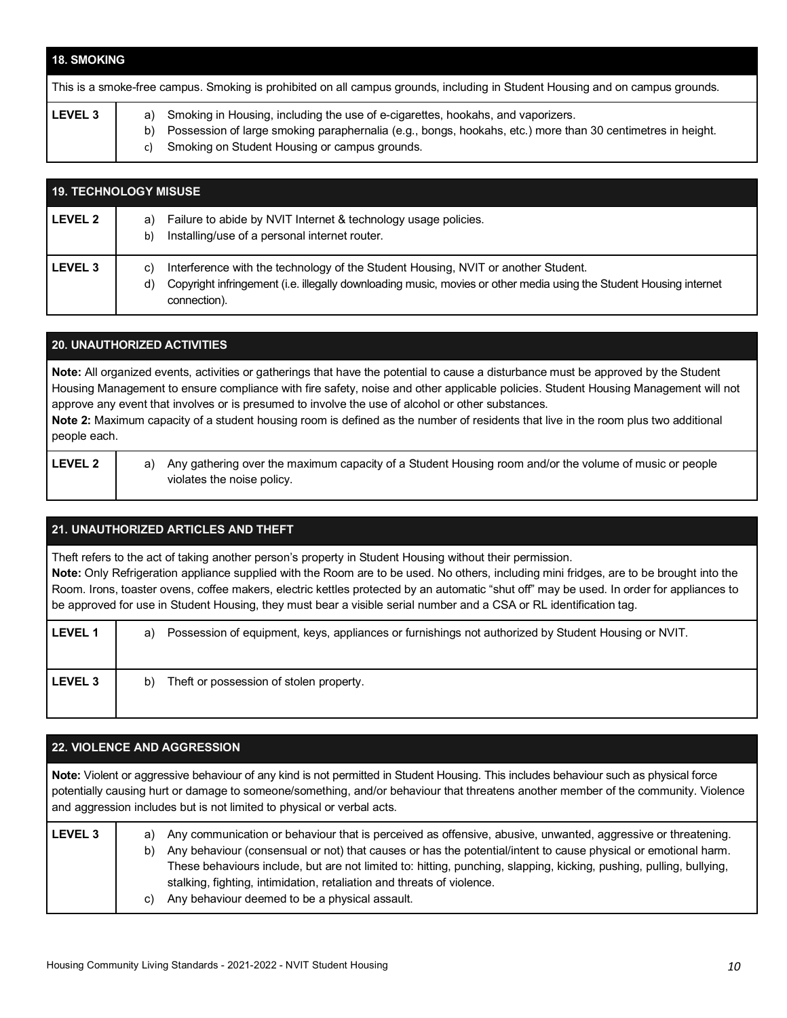| <b>18. SMOKING</b> |                                                                                                                                                                                                                                                         |
|--------------------|---------------------------------------------------------------------------------------------------------------------------------------------------------------------------------------------------------------------------------------------------------|
|                    | This is a smoke-free campus. Smoking is prohibited on all campus grounds, including in Student Housing and on campus grounds.                                                                                                                           |
| <b>LEVEL 3</b>     | a) Smoking in Housing, including the use of e-cigarettes, hookahs, and vaporizers.<br>Possession of large smoking paraphernalia (e.g., bongs, hookahs, etc.) more than 30 centimetres in height.<br>b)<br>Smoking on Student Housing or campus grounds. |

| <b>19. TECHNOLOGY MISUSE</b> |                                                                                                                                                                                                                                     |  |
|------------------------------|-------------------------------------------------------------------------------------------------------------------------------------------------------------------------------------------------------------------------------------|--|
| <b>LEVEL 2</b>               | Failure to abide by NVIT Internet & technology usage policies.<br>a)<br>Installing/use of a personal internet router.<br>b)                                                                                                         |  |
| <b>LEVEL 3</b>               | Interference with the technology of the Student Housing, NVIT or another Student.<br>C)<br>Copyright infringement (i.e. illegally downloading music, movies or other media using the Student Housing internet<br>d)<br>connection). |  |

| <b>20. UNAUTHORIZED ACTIVITIES</b> |                                                                                                                                                                                                                                                                                                                                                                                                                                                                                                                                      |  |
|------------------------------------|--------------------------------------------------------------------------------------------------------------------------------------------------------------------------------------------------------------------------------------------------------------------------------------------------------------------------------------------------------------------------------------------------------------------------------------------------------------------------------------------------------------------------------------|--|
|                                    | Note: All organized events, activities or gatherings that have the potential to cause a disturbance must be approved by the Student<br>Housing Management to ensure compliance with fire safety, noise and other applicable policies. Student Housing Management will not<br>approve any event that involves or is presumed to involve the use of alcohol or other substances.<br>Note 2: Maximum capacity of a student housing room is defined as the number of residents that live in the room plus two additional<br>people each. |  |
| <b>LEVEL 2</b>                     | Any gathering over the maximum capacity of a Student Housing room and/or the volume of music or people<br>a)                                                                                                                                                                                                                                                                                                                                                                                                                         |  |

## **21. UNAUTHORIZED ARTICLES AND THEFT**

violates the noise policy.

 Theft refers to the act of taking another person's property in Student Housing without their permission. **Note:** Only Refrigeration appliance supplied with the Room are to be used. No others, including mini fridges, are to be brought into the Room. Irons, toaster ovens, coffee makers, electric kettles protected by an automatic "shut off" may be used. In order for appliances to be approved for use in Student Housing, they must bear a visible serial number and a CSA or RL identification tag.

| <b>LEVEL 1</b> | Possession of equipment, keys, appliances or furnishings not authorized by Student Housing or NVIT.<br>a) |
|----------------|-----------------------------------------------------------------------------------------------------------|
| <b>LEVEL 3</b> | Theft or possession of stolen property.<br>b)                                                             |

## **22. VIOLENCE AND AGGRESSION**

 **Note:** Violent or aggressive behaviour of any kind is not permitted in Student Housing. This includes behaviour such as physical force potentially causing hurt or damage to someone/something, and/or behaviour that threatens another member of the community. Violence and aggression includes but is not limited to physical or verbal acts.

| <b>LEVEL 3</b> | a)<br>b) | Any communication or behaviour that is perceived as offensive, abusive, unwanted, aggressive or threatening.<br>Any behaviour (consensual or not) that causes or has the potential/intent to cause physical or emotional harm.<br>These behaviours include, but are not limited to: hitting, punching, slapping, kicking, pushing, pulling, bullying,<br>stalking, fighting, intimidation, retaliation and threats of violence. |
|----------------|----------|---------------------------------------------------------------------------------------------------------------------------------------------------------------------------------------------------------------------------------------------------------------------------------------------------------------------------------------------------------------------------------------------------------------------------------|
|                | C)       | Any behaviour deemed to be a physical assault.                                                                                                                                                                                                                                                                                                                                                                                  |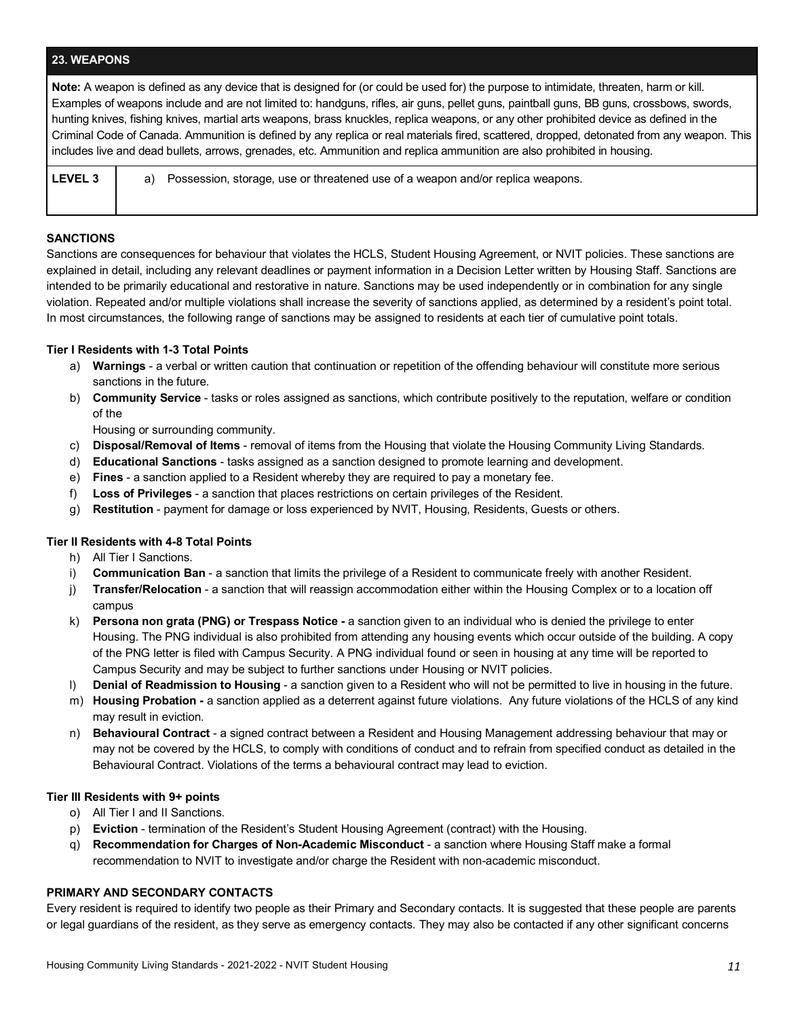#### **23. WEAPONS**

 **Note:** A weapon is defined as any device that is designed for (or could be used for) the purpose to intimidate, threaten, harm or kill. Examples of weapons include and are not limited to: handguns, rifles, air guns, pellet guns, paintball guns, BB guns, crossbows, swords, hunting knives, fishing knives, martial arts weapons, brass knuckles, replica weapons, or any other prohibited device as defined in the Criminal Code of Canada. Ammunition is defined by any replica or real materials fired, scattered, dropped, detonated from any weapon. This includes live and dead bullets, arrows, grenades, etc. Ammunition and replica ammunition are also prohibited in housing.

| l LEVEL 3 | a) Possession, storage, use or threatened use of a weapon and/or replica weapons. |
|-----------|-----------------------------------------------------------------------------------|
|           |                                                                                   |

#### **SANCTIONS**

 Sanctions are consequences for behaviour that violates the HCLS, Student Housing Agreement, or NVIT policies. These sanctions are explained in detail, including any relevant deadlines or payment information in a Decision Letter written by Housing Staff. Sanctions are intended to be primarily educational and restorative in nature. Sanctions may be used independently or in combination for any single violation. Repeated and/or multiple violations shall increase the severity of sanctions applied, as determined by a resident's point total. In most circumstances, the following range of sanctions may be assigned to residents at each tier of cumulative point totals.

#### **Tier I Residents with 1-3 Total Points**

- a) **Warnings**  a verbal or written caution that continuation or repetition of the offending behaviour will constitute more serious sanctions in the future.
- b) **Community Service**  tasks or roles assigned as sanctions, which contribute positively to the reputation, welfare or condition of the

Housing or surrounding community.

- c) **Disposal/Removal of Items**  removal of items from the Housing that violate the Housing Community Living Standards.
- d) **Educational Sanctions**  tasks assigned as a sanction designed to promote learning and development.
- e) **Fines**  a sanction applied to a Resident whereby they are required to pay a monetary fee.
- f) **Loss of Privileges**  a sanction that places restrictions on certain privileges of the Resident.
- g) **Restitution**  payment for damage or loss experienced by NVIT, Housing, Residents, Guests or others.

#### **Tier II Residents with 4-8 Total Points**

- h) All Tier I Sanctions.
- i) **Communication Ban**  a sanction that limits the privilege of a Resident to communicate freely with another Resident.
- j) **Transfer/Relocation**  a sanction that will reassign accommodation either within the Housing Complex or to a location off campus
- k) **Persona non grata (PNG) or Trespass Notice -** a sanction given to an individual who is denied the privilege to enter Housing. The PNG individual is also prohibited from attending any housing events which occur outside of the building. A copy of the PNG letter is filed with Campus Security. A PNG individual found or seen in housing at any time will be reported to Campus Security and may be subject to further sanctions under Housing or NVIT policies.
- l) **Denial of Readmission to Housing**  a sanction given to a Resident who will not be permitted to live in housing in the future.
- m) **Housing Probation -** a sanction applied as a deterrent against future violations. Any future violations of the HCLS of any kind may result in eviction.
- n) **Behavioural Contract**  a signed contract between a Resident and Housing Management addressing behaviour that may or may not be covered by the HCLS, to comply with conditions of conduct and to refrain from specified conduct as detailed in the Behavioural Contract. Violations of the terms a behavioural contract may lead to eviction.

#### **Tier III Residents with 9+ points**

- o) All Tier I and II Sanctions.
- p) **Eviction**  termination of the Resident's Student Housing Agreement (contract) with the Housing.
- q) **Recommendation for Charges of Non-Academic Misconduct**  a sanction where Housing Staff make a formal recommendation to NVIT to investigate and/or charge the Resident with non-academic misconduct.

#### **PRIMARY AND SECONDARY CONTACTS**

 Every resident is required to identify two people as their Primary and Secondary contacts. It is suggested that these people are parents or legal guardians of the resident, as they serve as emergency contacts. They may also be contacted if any other significant concerns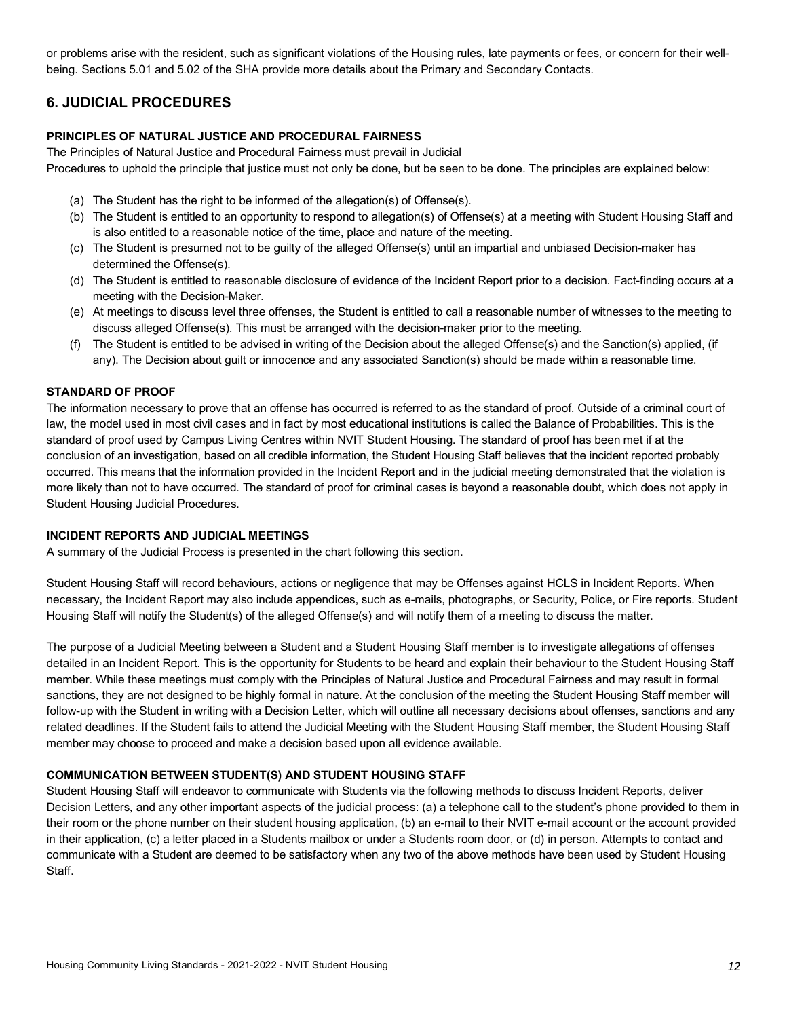or problems arise with the resident, such as significant violations of the Housing rules, late payments or fees, or concern for their well-being. Sections 5.01 and 5.02 of the SHA provide more details about the Primary and Secondary Contacts.

## **6. JUDICIAL PROCEDURES**

#### **PRINCIPLES OF NATURAL JUSTICE AND PROCEDURAL FAIRNESS**

 The Principles of Natural Justice and Procedural Fairness must prevail in Judicial Procedures to uphold the principle that justice must not only be done, but be seen to be done. The principles are explained below:

- (a) The Student has the right to be informed of the allegation(s) of Offense(s).
- (b) The Student is entitled to an opportunity to respond to allegation(s) of Offense(s) at a meeting with Student Housing Staff and is also entitled to a reasonable notice of the time, place and nature of the meeting.
- (c) The Student is presumed not to be guilty of the alleged Offense(s) until an impartial and unbiased Decision-maker has determined the Offense(s).
- (d) The Student is entitled to reasonable disclosure of evidence of the Incident Report prior to a decision. Fact-finding occurs at a meeting with the Decision-Maker.
- (e) At meetings to discuss level three offenses, the Student is entitled to call a reasonable number of witnesses to the meeting to discuss alleged Offense(s). This must be arranged with the decision-maker prior to the meeting.
- (f) The Student is entitled to be advised in writing of the Decision about the alleged Offense(s) and the Sanction(s) applied, (if any). The Decision about guilt or innocence and any associated Sanction(s) should be made within a reasonable time.

#### **STANDARD OF PROOF**

 The information necessary to prove that an offense has occurred is referred to as the standard of proof. Outside of a criminal court of law, the model used in most civil cases and in fact by most educational institutions is called the Balance of Probabilities. This is the standard of proof used by Campus Living Centres within NVIT Student Housing. The standard of proof has been met if at the conclusion of an investigation, based on all credible information, the Student Housing Staff believes that the incident reported probably occurred. This means that the information provided in the Incident Report and in the judicial meeting demonstrated that the violation is more likely than not to have occurred. The standard of proof for criminal cases is beyond a reasonable doubt, which does not apply in Student Housing Judicial Procedures.

#### **INCIDENT REPORTS AND JUDICIAL MEETINGS**

A summary of the Judicial Process is presented in the chart following this section.

 Student Housing Staff will record behaviours, actions or negligence that may be Offenses against HCLS in Incident Reports. When necessary, the Incident Report may also include appendices, such as e-mails, photographs, or Security, Police, or Fire reports. Student Housing Staff will notify the Student(s) of the alleged Offense(s) and will notify them of a meeting to discuss the matter.

 The purpose of a Judicial Meeting between a Student and a Student Housing Staff member is to investigate allegations of offenses detailed in an Incident Report. This is the opportunity for Students to be heard and explain their behaviour to the Student Housing Staff member. While these meetings must comply with the Principles of Natural Justice and Procedural Fairness and may result in formal sanctions, they are not designed to be highly formal in nature. At the conclusion of the meeting the Student Housing Staff member will follow-up with the Student in writing with a Decision Letter, which will outline all necessary decisions about offenses, sanctions and any related deadlines. If the Student fails to attend the Judicial Meeting with the Student Housing Staff member, the Student Housing Staff member may choose to proceed and make a decision based upon all evidence available.

#### **COMMUNICATION BETWEEN STUDENT(S) AND STUDENT HOUSING STAFF**

 Student Housing Staff will endeavor to communicate with Students via the following methods to discuss Incident Reports, deliver Decision Letters, and any other important aspects of the judicial process: (a) a telephone call to the student's phone provided to them in their room or the phone number on their student housing application, (b) an e-mail to their NVIT e-mail account or the account provided in their application, (c) a letter placed in a Students mailbox or under a Students room door, or (d) in person. Attempts to contact and communicate with a Student are deemed to be satisfactory when any two of the above methods have been used by Student Housing Staff.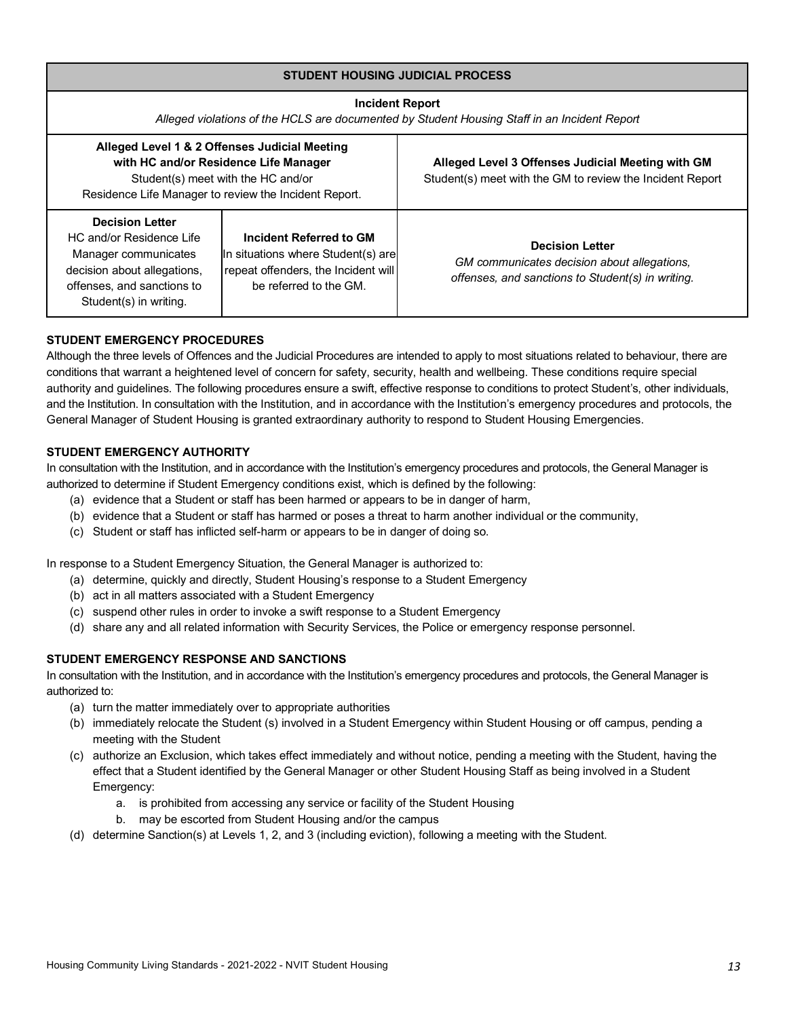| <b>STUDENT HOUSING JUDICIAL PROCESS</b>                                                                                                                                                                                                                                                             |                                                                                                                                                                                       |                                                                                                                            |  |  |  |  |
|-----------------------------------------------------------------------------------------------------------------------------------------------------------------------------------------------------------------------------------------------------------------------------------------------------|---------------------------------------------------------------------------------------------------------------------------------------------------------------------------------------|----------------------------------------------------------------------------------------------------------------------------|--|--|--|--|
| <b>Incident Report</b><br>Alleged violations of the HCLS are documented by Student Housing Staff in an Incident Report                                                                                                                                                                              |                                                                                                                                                                                       |                                                                                                                            |  |  |  |  |
|                                                                                                                                                                                                                                                                                                     | Alleged Level 1 & 2 Offenses Judicial Meeting<br>with HC and/or Residence Life Manager<br>Student(s) meet with the HC and/or<br>Residence Life Manager to review the Incident Report. | Alleged Level 3 Offenses Judicial Meeting with GM<br>Student(s) meet with the GM to review the Incident Report             |  |  |  |  |
| <b>Decision Letter</b><br>HC and/or Residence Life<br>Incident Referred to GM<br>In situations where Student(s) are<br>Manager communicates<br>repeat offenders, the Incident will<br>decision about allegations,<br>be referred to the GM.<br>offenses, and sanctions to<br>Student(s) in writing. |                                                                                                                                                                                       | <b>Decision Letter</b><br>GM communicates decision about allegations,<br>offenses, and sanctions to Student(s) in writing. |  |  |  |  |

## **STUDENT EMERGENCY PROCEDURES**

 Although the three levels of Offences and the Judicial Procedures are intended to apply to most situations related to behaviour, there are conditions that warrant a heightened level of concern for safety, security, health and wellbeing. These conditions require special authority and guidelines. The following procedures ensure a swift, effective response to conditions to protect Student's, other individuals, and the Institution. In consultation with the Institution, and in accordance with the Institution's emergency procedures and protocols, the General Manager of Student Housing is granted extraordinary authority to respond to Student Housing Emergencies.

#### **STUDENT EMERGENCY AUTHORITY**

 In consultation with the Institution, and in accordance with the Institution's emergency procedures and protocols, the General Manager is authorized to determine if Student Emergency conditions exist, which is defined by the following:

- (a) evidence that a Student or staff has been harmed or appears to be in danger of harm,
- (b) evidence that a Student or staff has harmed or poses a threat to harm another individual or the community,
- (c) Student or staff has inflicted self-harm or appears to be in danger of doing so.

In response to a Student Emergency Situation, the General Manager is authorized to:

- (a) determine, quickly and directly, Student Housing's response to a Student Emergency
- (b) act in all matters associated with a Student Emergency
- (c) suspend other rules in order to invoke a swift response to a Student Emergency
- (d) share any and all related information with Security Services, the Police or emergency response personnel.

#### **STUDENT EMERGENCY RESPONSE AND SANCTIONS**

 In consultation with the Institution, and in accordance with the Institution's emergency procedures and protocols, the General Manager is authorized to:

- (a) turn the matter immediately over to appropriate authorities
- (b) immediately relocate the Student (s) involved in a Student Emergency within Student Housing or off campus, pending a meeting with the Student
- (c) authorize an Exclusion, which takes effect immediately and without notice, pending a meeting with the Student, having the effect that a Student identified by the General Manager or other Student Housing Staff as being involved in a Student Emergency:
	- a. is prohibited from accessing any service or facility of the Student Housing
	- b. may be escorted from Student Housing and/or the campus
- (d) determine Sanction(s) at Levels 1, 2, and 3 (including eviction), following a meeting with the Student.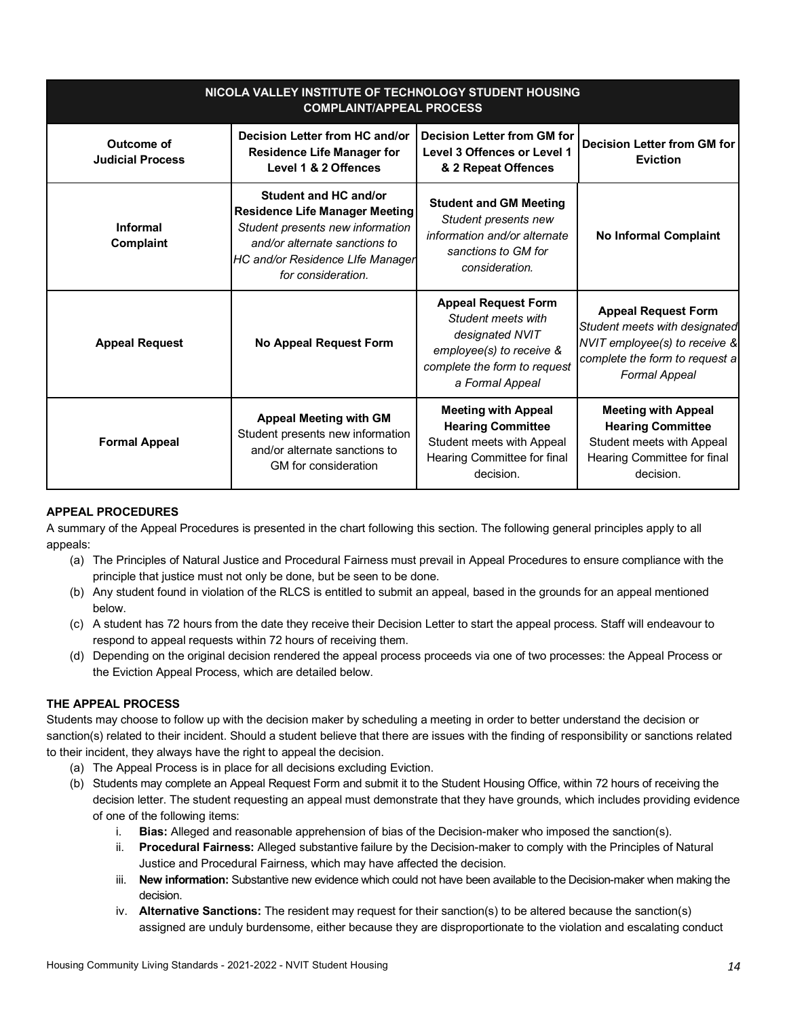| NICOLA VALLEY INSTITUTE OF TECHNOLOGY STUDENT HOUSING<br><b>COMPLAINT/APPEAL PROCESS</b> |                                                                                                                                                                                               |                                                                                                                                                    |                                                                                                                                                        |  |  |  |
|------------------------------------------------------------------------------------------|-----------------------------------------------------------------------------------------------------------------------------------------------------------------------------------------------|----------------------------------------------------------------------------------------------------------------------------------------------------|--------------------------------------------------------------------------------------------------------------------------------------------------------|--|--|--|
| Outcome of<br><b>Judicial Process</b>                                                    | Decision Letter from HC and/or<br><b>Residence Life Manager for</b><br>Level 1 & 2 Offences                                                                                                   | <b>Decision Letter from GM for</b><br>Level 3 Offences or Level 1<br>& 2 Repeat Offences                                                           | <b>Decision Letter from GM for</b><br><b>Eviction</b>                                                                                                  |  |  |  |
| Informal<br>Complaint                                                                    | Student and HC and/or<br><b>Residence Life Manager Meeting</b><br>Student presents new information<br>and/or alternate sanctions to<br>HC and/or Residence LIfe Manager<br>for consideration. | <b>Student and GM Meeting</b><br>Student presents new<br>information and/or alternate<br>sanctions to GM for<br>consideration.                     | <b>No Informal Complaint</b>                                                                                                                           |  |  |  |
| <b>Appeal Request</b>                                                                    | <b>No Appeal Request Form</b>                                                                                                                                                                 | <b>Appeal Request Form</b><br>Student meets with<br>designated NVIT<br>employee(s) to receive &<br>complete the form to request<br>a Formal Appeal | <b>Appeal Request Form</b><br>Student meets with designated<br>NVIT employee(s) to receive &<br>complete the form to request a<br><b>Formal Appeal</b> |  |  |  |
| <b>Formal Appeal</b>                                                                     | <b>Appeal Meeting with GM</b><br>Student presents new information<br>and/or alternate sanctions to<br>GM for consideration                                                                    | <b>Meeting with Appeal</b><br><b>Hearing Committee</b><br>Student meets with Appeal<br>Hearing Committee for final<br>decision.                    | <b>Meeting with Appeal</b><br><b>Hearing Committee</b><br>Student meets with Appeal<br>Hearing Committee for final<br>decision.                        |  |  |  |

## **APPEAL PROCEDURES**

 A summary of the Appeal Procedures is presented in the chart following this section. The following general principles apply to all appeals:

- (a) The Principles of Natural Justice and Procedural Fairness must prevail in Appeal Procedures to ensure compliance with the principle that justice must not only be done, but be seen to be done.
- (b) Any student found in violation of the RLCS is entitled to submit an appeal, based in the grounds for an appeal mentioned below.
- (c) A student has 72 hours from the date they receive their Decision Letter to start the appeal process. Staff will endeavour to respond to appeal requests within 72 hours of receiving them.
- (d) Depending on the original decision rendered the appeal process proceeds via one of two processes: the Appeal Process or the Eviction Appeal Process, which are detailed below.

## **THE APPEAL PROCESS**

 Students may choose to follow up with the decision maker by scheduling a meeting in order to better understand the decision or sanction(s) related to their incident. Should a student believe that there are issues with the finding of responsibility or sanctions related to their incident, they always have the right to appeal the decision.

- (a) The Appeal Process is in place for all decisions excluding Eviction.
- (b) Students may complete an Appeal Request Form and submit it to the Student Housing Office, within 72 hours of receiving the decision letter. The student requesting an appeal must demonstrate that they have grounds, which includes providing evidence of one of the following items:
	- i. **Bias:** Alleged and reasonable apprehension of bias of the Decision-maker who imposed the sanction(s).
	- ii. **Procedural Fairness:** Alleged substantive failure by the Decision-maker to comply with the Principles of Natural Justice and Procedural Fairness, which may have affected the decision.
	- iii. **New information:** Substantive new evidence which could not have been available to the Decision-maker when making the decision.
	- iv. **Alternative Sanctions:** The resident may request for their sanction(s) to be altered because the sanction(s) assigned are unduly burdensome, either because they are disproportionate to the violation and escalating conduct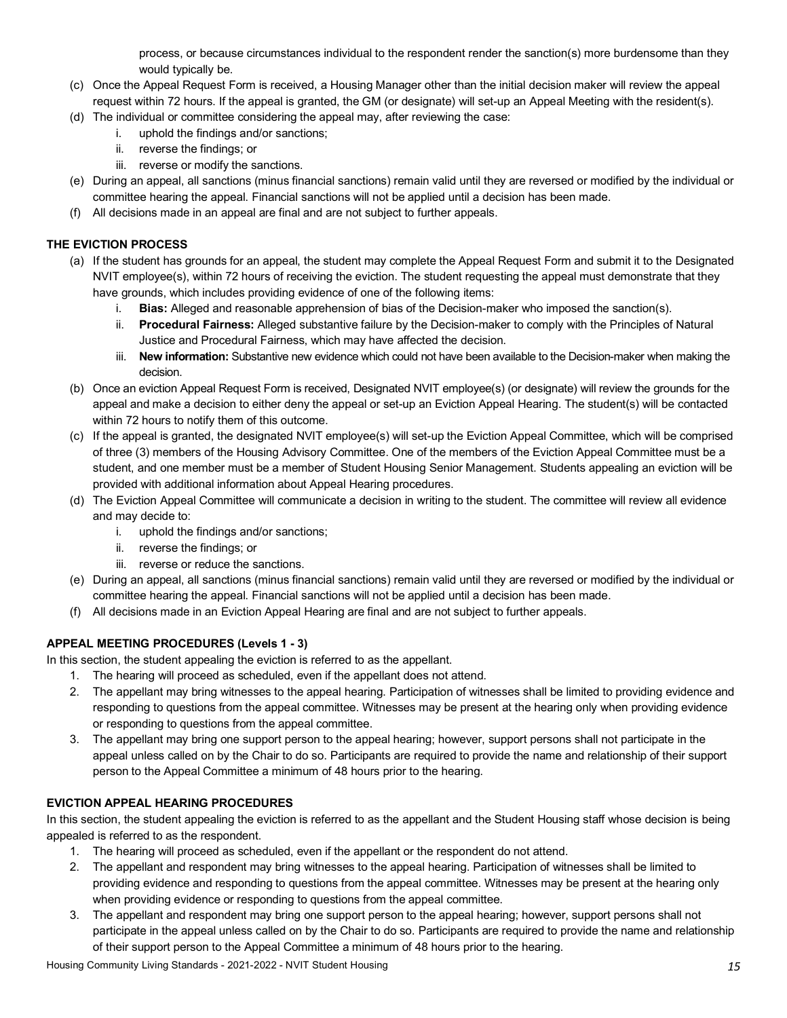process, or because circumstances individual to the respondent render the sanction(s) more burdensome than they would typically be.

- (c) Once the Appeal Request Form is received, a Housing Manager other than the initial decision maker will review the appeal request within 72 hours. If the appeal is granted, the GM (or designate) will set-up an Appeal Meeting with the resident(s).
- (d) The individual or committee considering the appeal may, after reviewing the case:
	- i. uphold the findings and/or sanctions;
	- ii. reverse the findings; or
	- iii. reverse or modify the sanctions.
- (e) During an appeal, all sanctions (minus financial sanctions) remain valid until they are reversed or modified by the individual or committee hearing the appeal. Financial sanctions will not be applied until a decision has been made.
- (f) All decisions made in an appeal are final and are not subject to further appeals.

### **THE EVICTION PROCESS**

- (a) If the student has grounds for an appeal, the student may complete the Appeal Request Form and submit it to the Designated NVIT employee(s), within 72 hours of receiving the eviction. The student requesting the appeal must demonstrate that they have grounds, which includes providing evidence of one of the following items:
	- i. **Bias:** Alleged and reasonable apprehension of bias of the Decision-maker who imposed the sanction(s).
	- ii. **Procedural Fairness:** Alleged substantive failure by the Decision-maker to comply with the Principles of Natural Justice and Procedural Fairness, which may have affected the decision.
	- iii. **New information:** Substantive new evidence which could not have been available to the Decision-maker when making the decision.
- (b) Once an eviction Appeal Request Form is received, Designated NVIT employee(s) (or designate) will review the grounds for the appeal and make a decision to either deny the appeal or set-up an Eviction Appeal Hearing. The student(s) will be contacted within 72 hours to notify them of this outcome.
- (c) If the appeal is granted, the designated NVIT employee(s) will set-up the Eviction Appeal Committee, which will be comprised of three (3) members of the Housing Advisory Committee. One of the members of the Eviction Appeal Committee must be a student, and one member must be a member of Student Housing Senior Management. Students appealing an eviction will be provided with additional information about Appeal Hearing procedures.
- (d) The Eviction Appeal Committee will communicate a decision in writing to the student. The committee will review all evidence and may decide to:
	- i. uphold the findings and/or sanctions;
	- ii. reverse the findings; or
	- iii. reverse or reduce the sanctions.
- (e) During an appeal, all sanctions (minus financial sanctions) remain valid until they are reversed or modified by the individual or committee hearing the appeal. Financial sanctions will not be applied until a decision has been made.
- (f) All decisions made in an Eviction Appeal Hearing are final and are not subject to further appeals.

## **APPEAL MEETING PROCEDURES (Levels 1 - 3)**

In this section, the student appealing the eviction is referred to as the appellant.

- 1. The hearing will proceed as scheduled, even if the appellant does not attend.
- 2. The appellant may bring witnesses to the appeal hearing. Participation of witnesses shall be limited to providing evidence and responding to questions from the appeal committee. Witnesses may be present at the hearing only when providing evidence or responding to questions from the appeal committee.
- 3. The appellant may bring one support person to the appeal hearing; however, support persons shall not participate in the appeal unless called on by the Chair to do so. Participants are required to provide the name and relationship of their support person to the Appeal Committee a minimum of 48 hours prior to the hearing.

#### **EVICTION APPEAL HEARING PROCEDURES**

 In this section, the student appealing the eviction is referred to as the appellant and the Student Housing staff whose decision is being appealed is referred to as the respondent.

- 1. The hearing will proceed as scheduled, even if the appellant or the respondent do not attend.
- 2. The appellant and respondent may bring witnesses to the appeal hearing. Participation of witnesses shall be limited to providing evidence and responding to questions from the appeal committee. Witnesses may be present at the hearing only when providing evidence or responding to questions from the appeal committee.
- 3. The appellant and respondent may bring one support person to the appeal hearing; however, support persons shall not participate in the appeal unless called on by the Chair to do so. Participants are required to provide the name and relationship of their support person to the Appeal Committee a minimum of 48 hours prior to the hearing.